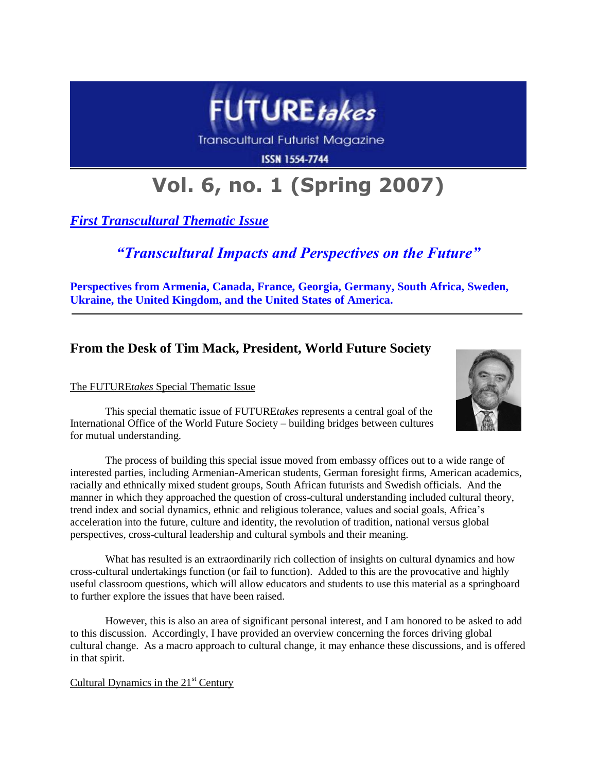

Transcultural Futurist Magazine

**ISSN 1554-7744** 

# **Vol. 6, no. 1 (Spring 2007)**

*First Transcultural Thematic Issue*

## *"Transcultural Impacts and Perspectives on the Future"*

**Perspectives from Armenia, Canada, France, Georgia, Germany, South Africa, Sweden, Ukraine, the United Kingdom, and the United States of America.**

### **From the Desk of Tim Mack, President, World Future Society**

#### The FUTURE*takes* Special Thematic Issue



This special thematic issue of FUTURE*takes* represents a central goal of the International Office of the World Future Society – building bridges between cultures for mutual understanding.

The process of building this special issue moved from embassy offices out to a wide range of interested parties, including Armenian-American students, German foresight firms, American academics, racially and ethnically mixed student groups, South African futurists and Swedish officials. And the manner in which they approached the question of cross-cultural understanding included cultural theory, trend index and social dynamics, ethnic and religious tolerance, values and social goals, Africa's acceleration into the future, culture and identity, the revolution of tradition, national versus global perspectives, cross-cultural leadership and cultural symbols and their meaning.

What has resulted is an extraordinarily rich collection of insights on cultural dynamics and how cross-cultural undertakings function (or fail to function). Added to this are the provocative and highly useful classroom questions, which will allow educators and students to use this material as a springboard to further explore the issues that have been raised.

However, this is also an area of significant personal interest, and I am honored to be asked to add to this discussion. Accordingly, I have provided an overview concerning the forces driving global cultural change. As a macro approach to cultural change, it may enhance these discussions, and is offered in that spirit.

Cultural Dynamics in the  $21<sup>st</sup>$  Century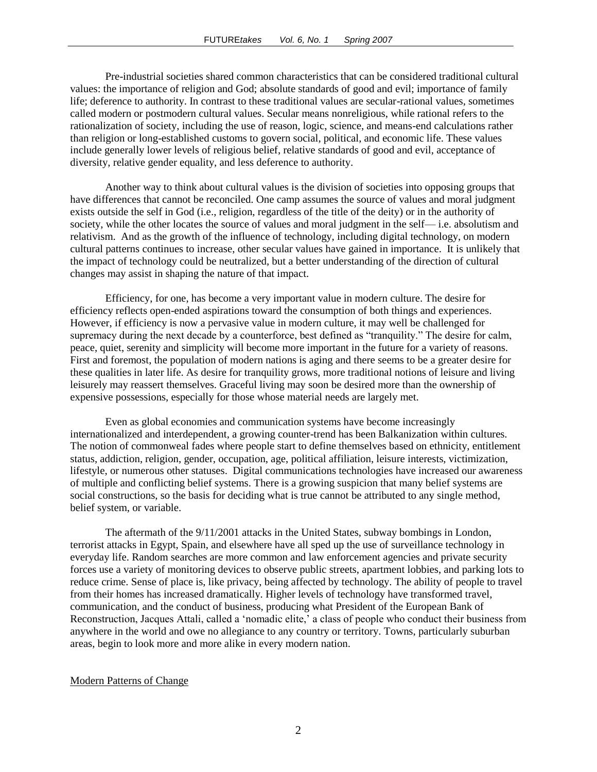Pre-industrial societies shared common characteristics that can be considered traditional cultural values: the importance of religion and God; absolute standards of good and evil; importance of family life; deference to authority. In contrast to these traditional values are secular-rational values, sometimes called modern or postmodern cultural values. Secular means nonreligious, while rational refers to the rationalization of society, including the use of reason, logic, science, and means-end calculations rather than religion or long-established customs to govern social, political, and economic life. These values include generally lower levels of religious belief, relative standards of good and evil, acceptance of diversity, relative gender equality, and less deference to authority.

Another way to think about cultural values is the division of societies into opposing groups that have differences that cannot be reconciled. One camp assumes the source of values and moral judgment exists outside the self in God (i.e., religion, regardless of the title of the deity) or in the authority of society, while the other locates the source of values and moral judgment in the self— i.e. absolutism and relativism. And as the growth of the influence of technology, including digital technology, on modern cultural patterns continues to increase, other secular values have gained in importance. It is unlikely that the impact of technology could be neutralized, but a better understanding of the direction of cultural changes may assist in shaping the nature of that impact.

Efficiency, for one, has become a very important value in modern culture. The desire for efficiency reflects open-ended aspirations toward the consumption of both things and experiences. However, if efficiency is now a pervasive value in modern culture, it may well be challenged for supremacy during the next decade by a counterforce, best defined as "tranquility." The desire for calm, peace, quiet, serenity and simplicity will become more important in the future for a variety of reasons. First and foremost, the population of modern nations is aging and there seems to be a greater desire for these qualities in later life. As desire for tranquility grows, more traditional notions of leisure and living leisurely may reassert themselves. Graceful living may soon be desired more than the ownership of expensive possessions, especially for those whose material needs are largely met.

Even as global economies and communication systems have become increasingly internationalized and interdependent, a growing counter-trend has been Balkanization within cultures. The notion of commonweal fades where people start to define themselves based on ethnicity, entitlement status, addiction, religion, gender, occupation, age, political affiliation, leisure interests, victimization, lifestyle, or numerous other statuses. Digital communications technologies have increased our awareness of multiple and conflicting belief systems. There is a growing suspicion that many belief systems are social constructions, so the basis for deciding what is true cannot be attributed to any single method, belief system, or variable.

The aftermath of the 9/11/2001 attacks in the United States, subway bombings in London, terrorist attacks in Egypt, Spain, and elsewhere have all sped up the use of surveillance technology in everyday life. Random searches are more common and law enforcement agencies and private security forces use a variety of monitoring devices to observe public streets, apartment lobbies, and parking lots to reduce crime. Sense of place is, like privacy, being affected by technology. The ability of people to travel from their homes has increased dramatically. Higher levels of technology have transformed travel, communication, and the conduct of business, producing what President of the European Bank of Reconstruction, Jacques Attali, called a 'nomadic elite,' a class of people who conduct their business from anywhere in the world and owe no allegiance to any country or territory. Towns, particularly suburban areas, begin to look more and more alike in every modern nation.

#### Modern Patterns of Change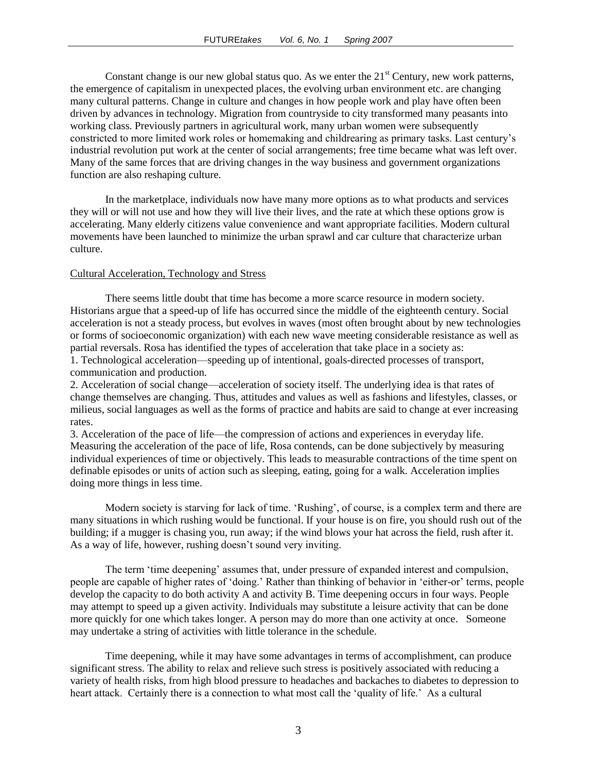Constant change is our new global status quo. As we enter the  $21<sup>st</sup>$  Century, new work patterns, the emergence of capitalism in unexpected places, the evolving urban environment etc. are changing many cultural patterns. Change in culture and changes in how people work and play have often been driven by advances in technology. Migration from countryside to city transformed many peasants into working class. Previously partners in agricultural work, many urban women were subsequently constricted to more limited work roles or homemaking and childrearing as primary tasks. Last century's industrial revolution put work at the center of social arrangements; free time became what was left over. Many of the same forces that are driving changes in the way business and government organizations function are also reshaping culture.

In the marketplace, individuals now have many more options as to what products and services they will or will not use and how they will live their lives, and the rate at which these options grow is accelerating. Many elderly citizens value convenience and want appropriate facilities. Modern cultural movements have been launched to minimize the urban sprawl and car culture that characterize urban culture.

#### Cultural Acceleration, Technology and Stress

There seems little doubt that time has become a more scarce resource in modern society. Historians argue that a speed-up of life has occurred since the middle of the eighteenth century. Social acceleration is not a steady process, but evolves in waves (most often brought about by new technologies or forms of socioeconomic organization) with each new wave meeting considerable resistance as well as partial reversals. Rosa has identified the types of acceleration that take place in a society as:

1. Technological acceleration—speeding up of intentional, goals-directed processes of transport, communication and production.

2. Acceleration of social change—acceleration of society itself. The underlying idea is that rates of change themselves are changing. Thus, attitudes and values as well as fashions and lifestyles, classes, or milieus, social languages as well as the forms of practice and habits are said to change at ever increasing rates.

3. Acceleration of the pace of life—the compression of actions and experiences in everyday life. Measuring the acceleration of the pace of life, Rosa contends, can be done subjectively by measuring individual experiences of time or objectively. This leads to measurable contractions of the time spent on definable episodes or units of action such as sleeping, eating, going for a walk. Acceleration implies doing more things in less time.

Modern society is starving for lack of time. 'Rushing', of course, is a complex term and there are many situations in which rushing would be functional. If your house is on fire, you should rush out of the building; if a mugger is chasing you, run away; if the wind blows your hat across the field, rush after it. As a way of life, however, rushing doesn't sound very inviting.

The term 'time deepening' assumes that, under pressure of expanded interest and compulsion, people are capable of higher rates of 'doing.' Rather than thinking of behavior in 'either-or' terms, people develop the capacity to do both activity A and activity B. Time deepening occurs in four ways. People may attempt to speed up a given activity. Individuals may substitute a leisure activity that can be done more quickly for one which takes longer. A person may do more than one activity at once. Someone may undertake a string of activities with little tolerance in the schedule.

Time deepening, while it may have some advantages in terms of accomplishment, can produce significant stress. The ability to relax and relieve such stress is positively associated with reducing a variety of health risks, from high blood pressure to headaches and backaches to diabetes to depression to heart attack. Certainly there is a connection to what most call the 'quality of life.' As a cultural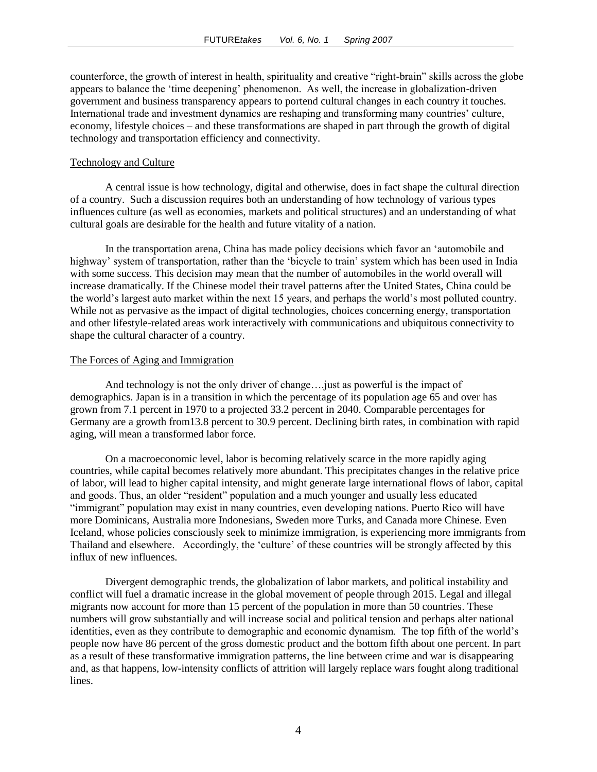counterforce, the growth of interest in health, spirituality and creative "right-brain" skills across the globe appears to balance the ‗time deepening' phenomenon. As well, the increase in globalization-driven government and business transparency appears to portend cultural changes in each country it touches. International trade and investment dynamics are reshaping and transforming many countries' culture, economy, lifestyle choices – and these transformations are shaped in part through the growth of digital technology and transportation efficiency and connectivity.

#### Technology and Culture

A central issue is how technology, digital and otherwise, does in fact shape the cultural direction of a country. Such a discussion requires both an understanding of how technology of various types influences culture (as well as economies, markets and political structures) and an understanding of what cultural goals are desirable for the health and future vitality of a nation.

In the transportation arena, China has made policy decisions which favor an 'automobile and highway' system of transportation, rather than the 'bicycle to train' system which has been used in India with some success. This decision may mean that the number of automobiles in the world overall will increase dramatically. If the Chinese model their travel patterns after the United States, China could be the world's largest auto market within the next 15 years, and perhaps the world's most polluted country. While not as pervasive as the impact of digital technologies, choices concerning energy, transportation and other lifestyle-related areas work interactively with communications and ubiquitous connectivity to shape the cultural character of a country.

#### The Forces of Aging and Immigration

And technology is not the only driver of change….just as powerful is the impact of demographics. Japan is in a transition in which the percentage of its population age 65 and over has grown from 7.1 percent in 1970 to a projected 33.2 percent in 2040. Comparable percentages for Germany are a growth from13.8 percent to 30.9 percent. Declining birth rates, in combination with rapid aging, will mean a transformed labor force.

On a macroeconomic level, labor is becoming relatively scarce in the more rapidly aging countries, while capital becomes relatively more abundant. This precipitates changes in the relative price of labor, will lead to higher capital intensity, and might generate large international flows of labor, capital and goods. Thus, an older "resident" population and a much younger and usually less educated "immigrant" population may exist in many countries, even developing nations. Puerto Rico will have more Dominicans, Australia more Indonesians, Sweden more Turks, and Canada more Chinese. Even Iceland, whose policies consciously seek to minimize immigration, is experiencing more immigrants from Thailand and elsewhere. Accordingly, the 'culture' of these countries will be strongly affected by this influx of new influences.

Divergent demographic trends, the globalization of labor markets, and political instability and conflict will fuel a dramatic increase in the global movement of people through 2015. Legal and illegal migrants now account for more than 15 percent of the population in more than 50 countries. These numbers will grow substantially and will increase social and political tension and perhaps alter national identities, even as they contribute to demographic and economic dynamism. The top fifth of the world's people now have 86 percent of the gross domestic product and the bottom fifth about one percent. In part as a result of these transformative immigration patterns, the line between crime and war is disappearing and, as that happens, low-intensity conflicts of attrition will largely replace wars fought along traditional lines.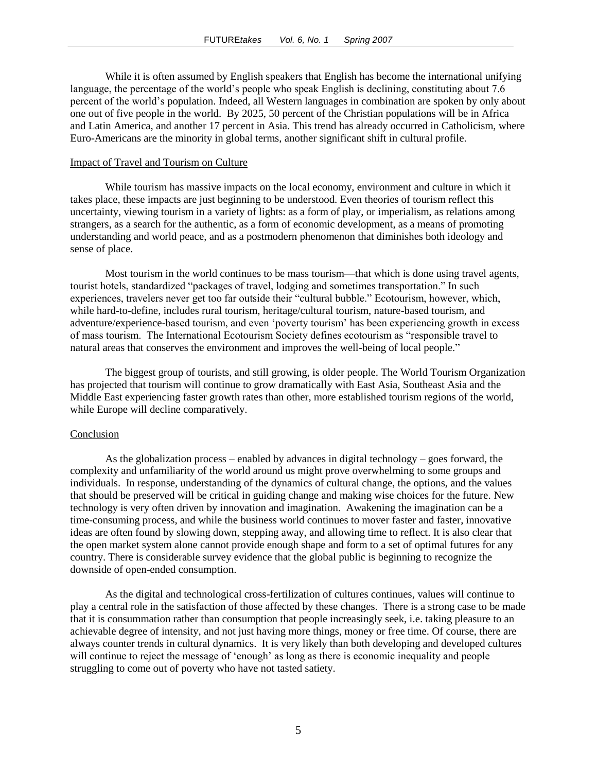While it is often assumed by English speakers that English has become the international unifying language, the percentage of the world's people who speak English is declining, constituting about 7.6 percent of the world's population. Indeed, all Western languages in combination are spoken by only about one out of five people in the world. By 2025, 50 percent of the Christian populations will be in Africa and Latin America, and another 17 percent in Asia. This trend has already occurred in Catholicism, where Euro-Americans are the minority in global terms, another significant shift in cultural profile.

#### Impact of Travel and Tourism on Culture

While tourism has massive impacts on the local economy, environment and culture in which it takes place, these impacts are just beginning to be understood. Even theories of tourism reflect this uncertainty, viewing tourism in a variety of lights: as a form of play, or imperialism, as relations among strangers, as a search for the authentic, as a form of economic development, as a means of promoting understanding and world peace, and as a postmodern phenomenon that diminishes both ideology and sense of place.

Most tourism in the world continues to be mass tourism—that which is done using travel agents, tourist hotels, standardized "packages of travel, lodging and sometimes transportation." In such experiences, travelers never get too far outside their "cultural bubble." Ecotourism, however, which, while hard-to-define, includes rural tourism, heritage/cultural tourism, nature-based tourism, and adventure/experience-based tourism, and even 'poverty tourism' has been experiencing growth in excess of mass tourism. The International Ecotourism Society defines ecotourism as "responsible travel to natural areas that conserves the environment and improves the well-being of local people."

The biggest group of tourists, and still growing, is older people. The World Tourism Organization has projected that tourism will continue to grow dramatically with East Asia, Southeast Asia and the Middle East experiencing faster growth rates than other, more established tourism regions of the world, while Europe will decline comparatively.

#### Conclusion

As the globalization process – enabled by advances in digital technology – goes forward, the complexity and unfamiliarity of the world around us might prove overwhelming to some groups and individuals. In response, understanding of the dynamics of cultural change, the options, and the values that should be preserved will be critical in guiding change and making wise choices for the future. New technology is very often driven by innovation and imagination. Awakening the imagination can be a time-consuming process, and while the business world continues to mover faster and faster, innovative ideas are often found by slowing down, stepping away, and allowing time to reflect. It is also clear that the open market system alone cannot provide enough shape and form to a set of optimal futures for any country. There is considerable survey evidence that the global public is beginning to recognize the downside of open-ended consumption.

As the digital and technological cross-fertilization of cultures continues, values will continue to play a central role in the satisfaction of those affected by these changes. There is a strong case to be made that it is consummation rather than consumption that people increasingly seek, i.e. taking pleasure to an achievable degree of intensity, and not just having more things, money or free time. Of course, there are always counter trends in cultural dynamics. It is very likely than both developing and developed cultures will continue to reject the message of 'enough' as long as there is economic inequality and people struggling to come out of poverty who have not tasted satiety.